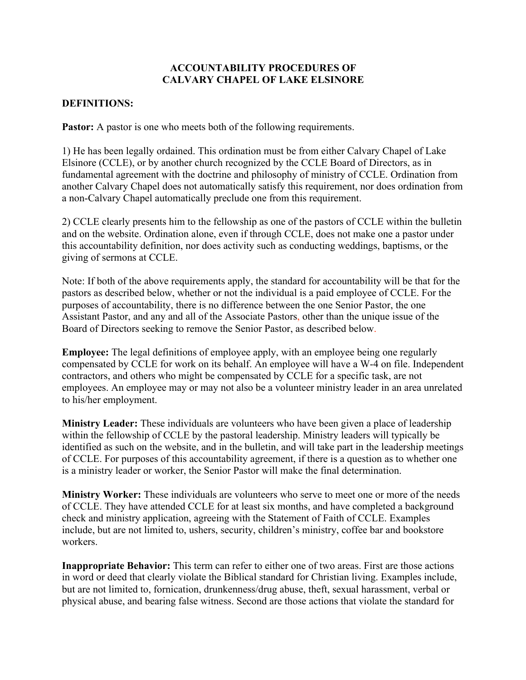## **ACCOUNTABILITY PROCEDURES OF CALVARY CHAPEL OF LAKE ELSINORE**

## **DEFINITIONS:**

**Pastor:** A pastor is one who meets both of the following requirements.

1) He has been legally ordained. This ordination must be from either Calvary Chapel of Lake Elsinore (CCLE), or by another church recognized by the CCLE Board of Directors, as in fundamental agreement with the doctrine and philosophy of ministry of CCLE. Ordination from another Calvary Chapel does not automatically satisfy this requirement, nor does ordination from a non-Calvary Chapel automatically preclude one from this requirement.

2) CCLE clearly presents him to the fellowship as one of the pastors of CCLE within the bulletin and on the website. Ordination alone, even if through CCLE, does not make one a pastor under this accountability definition, nor does activity such as conducting weddings, baptisms, or the giving of sermons at CCLE.

Note: If both of the above requirements apply, the standard for accountability will be that for the pastors as described below, whether or not the individual is a paid employee of CCLE. For the purposes of accountability, there is no difference between the one Senior Pastor, the one Assistant Pastor, and any and all of the Associate Pastors, other than the unique issue of the Board of Directors seeking to remove the Senior Pastor, as described below.

**Employee:** The legal definitions of employee apply, with an employee being one regularly compensated by CCLE for work on its behalf. An employee will have a W-4 on file. Independent contractors, and others who might be compensated by CCLE for a specific task, are not employees. An employee may or may not also be a volunteer ministry leader in an area unrelated to his/her employment.

**Ministry Leader:** These individuals are volunteers who have been given a place of leadership within the fellowship of CCLE by the pastoral leadership. Ministry leaders will typically be identified as such on the website, and in the bulletin, and will take part in the leadership meetings of CCLE. For purposes of this accountability agreement, if there is a question as to whether one is a ministry leader or worker, the Senior Pastor will make the final determination.

**Ministry Worker:** These individuals are volunteers who serve to meet one or more of the needs of CCLE. They have attended CCLE for at least six months, and have completed a background check and ministry application, agreeing with the Statement of Faith of CCLE. Examples include, but are not limited to, ushers, security, children's ministry, coffee bar and bookstore workers.

**Inappropriate Behavior:** This term can refer to either one of two areas. First are those actions in word or deed that clearly violate the Biblical standard for Christian living. Examples include, but are not limited to, fornication, drunkenness/drug abuse, theft, sexual harassment, verbal or physical abuse, and bearing false witness. Second are those actions that violate the standard for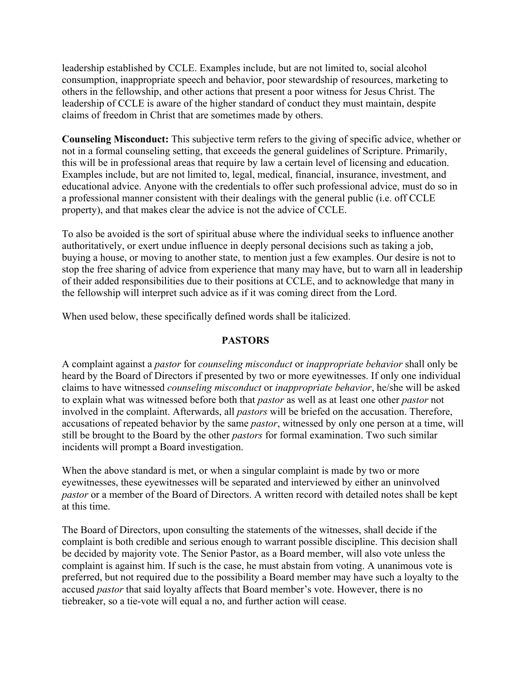leadership established by CCLE. Examples include, but are not limited to, social alcohol consumption, inappropriate speech and behavior, poor stewardship of resources, marketing to others in the fellowship, and other actions that present a poor witness for Jesus Christ. The leadership of CCLE is aware of the higher standard of conduct they must maintain, despite claims of freedom in Christ that are sometimes made by others.

**Counseling Misconduct:** This subjective term refers to the giving of specific advice, whether or not in a formal counseling setting, that exceeds the general guidelines of Scripture. Primarily, this will be in professional areas that require by law a certain level of licensing and education. Examples include, but are not limited to, legal, medical, financial, insurance, investment, and educational advice. Anyone with the credentials to offer such professional advice, must do so in a professional manner consistent with their dealings with the general public (i.e. off CCLE property), and that makes clear the advice is not the advice of CCLE.

To also be avoided is the sort of spiritual abuse where the individual seeks to influence another authoritatively, or exert undue influence in deeply personal decisions such as taking a job, buying a house, or moving to another state, to mention just a few examples. Our desire is not to stop the free sharing of advice from experience that many may have, but to warn all in leadership of their added responsibilities due to their positions at CCLE, and to acknowledge that many in the fellowship will interpret such advice as if it was coming direct from the Lord.

When used below, these specifically defined words shall be italicized.

#### **PASTORS**

A complaint against a *pastor* for *counseling misconduct* or *inappropriate behavior* shall only be heard by the Board of Directors if presented by two or more eyewitnesses. If only one individual claims to have witnessed *counseling misconduct* or *inappropriate behavior*, he/she will be asked to explain what was witnessed before both that *pastor* as well as at least one other *pastor* not involved in the complaint. Afterwards, all *pastors* will be briefed on the accusation. Therefore, accusations of repeated behavior by the same *pastor*, witnessed by only one person at a time, will still be brought to the Board by the other *pastors* for formal examination. Two such similar incidents will prompt a Board investigation.

When the above standard is met, or when a singular complaint is made by two or more eyewitnesses, these eyewitnesses will be separated and interviewed by either an uninvolved *pastor* or a member of the Board of Directors. A written record with detailed notes shall be kept at this time.

The Board of Directors, upon consulting the statements of the witnesses, shall decide if the complaint is both credible and serious enough to warrant possible discipline. This decision shall be decided by majority vote. The Senior Pastor, as a Board member, will also vote unless the complaint is against him. If such is the case, he must abstain from voting. A unanimous vote is preferred, but not required due to the possibility a Board member may have such a loyalty to the accused *pastor* that said loyalty affects that Board member's vote. However, there is no tiebreaker, so a tie-vote will equal a no, and further action will cease.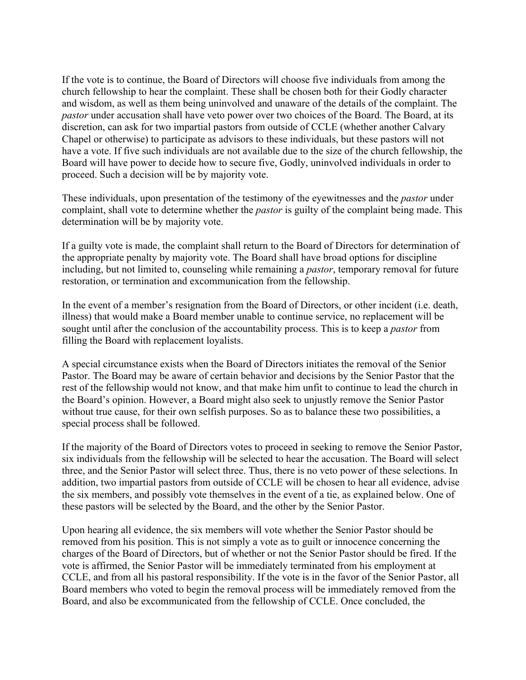If the vote is to continue, the Board of Directors will choose five individuals from among the church fellowship to hear the complaint. These shall be chosen both for their Godly character and wisdom, as well as them being uninvolved and unaware of the details of the complaint. The *pastor* under accusation shall have veto power over two choices of the Board. The Board, at its discretion, can ask for two impartial pastors from outside of CCLE (whether another Calvary Chapel or otherwise) to participate as advisors to these individuals, but these pastors will not have a vote. If five such individuals are not available due to the size of the church fellowship, the Board will have power to decide how to secure five, Godly, uninvolved individuals in order to proceed. Such a decision will be by majority vote.

These individuals, upon presentation of the testimony of the eyewitnesses and the *pastor* under complaint, shall vote to determine whether the *pastor* is guilty of the complaint being made. This determination will be by majority vote.

If a guilty vote is made, the complaint shall return to the Board of Directors for determination of the appropriate penalty by majority vote. The Board shall have broad options for discipline including, but not limited to, counseling while remaining a *pastor*, temporary removal for future restoration, or termination and excommunication from the fellowship.

In the event of a member's resignation from the Board of Directors, or other incident (i.e. death, illness) that would make a Board member unable to continue service, no replacement will be sought until after the conclusion of the accountability process. This is to keep a *pastor* from filling the Board with replacement loyalists.

A special circumstance exists when the Board of Directors initiates the removal of the Senior Pastor. The Board may be aware of certain behavior and decisions by the Senior Pastor that the rest of the fellowship would not know, and that make him unfit to continue to lead the church in the Board's opinion. However, a Board might also seek to unjustly remove the Senior Pastor without true cause, for their own selfish purposes. So as to balance these two possibilities, a special process shall be followed.

If the majority of the Board of Directors votes to proceed in seeking to remove the Senior Pastor, six individuals from the fellowship will be selected to hear the accusation. The Board will select three, and the Senior Pastor will select three. Thus, there is no veto power of these selections. In addition, two impartial pastors from outside of CCLE will be chosen to hear all evidence, advise the six members, and possibly vote themselves in the event of a tie, as explained below. One of these pastors will be selected by the Board, and the other by the Senior Pastor.

Upon hearing all evidence, the six members will vote whether the Senior Pastor should be removed from his position. This is not simply a vote as to guilt or innocence concerning the charges of the Board of Directors, but of whether or not the Senior Pastor should be fired. If the vote is affirmed, the Senior Pastor will be immediately terminated from his employment at CCLE, and from all his pastoral responsibility. If the vote is in the favor of the Senior Pastor, all Board members who voted to begin the removal process will be immediately removed from the Board, and also be excommunicated from the fellowship of CCLE. Once concluded, the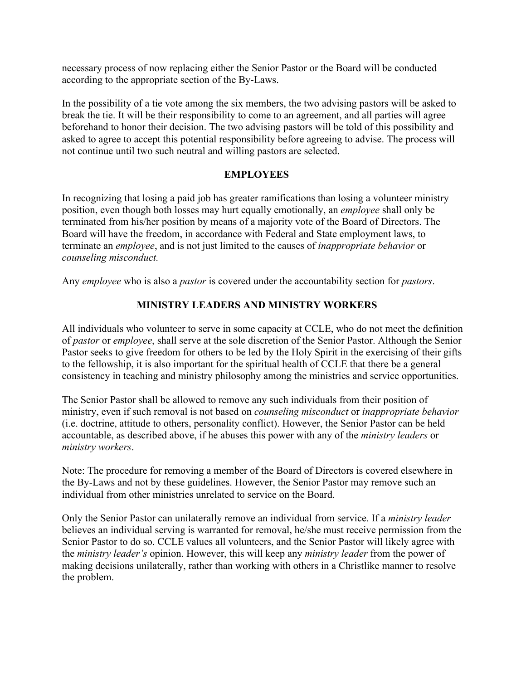necessary process of now replacing either the Senior Pastor or the Board will be conducted according to the appropriate section of the By-Laws.

In the possibility of a tie vote among the six members, the two advising pastors will be asked to break the tie. It will be their responsibility to come to an agreement, and all parties will agree beforehand to honor their decision. The two advising pastors will be told of this possibility and asked to agree to accept this potential responsibility before agreeing to advise. The process will not continue until two such neutral and willing pastors are selected.

## **EMPLOYEES**

In recognizing that losing a paid job has greater ramifications than losing a volunteer ministry position, even though both losses may hurt equally emotionally, an *employee* shall only be terminated from his/her position by means of a majority vote of the Board of Directors. The Board will have the freedom, in accordance with Federal and State employment laws, to terminate an *employee*, and is not just limited to the causes of *inappropriate behavior* or *counseling misconduct.*

Any *employee* who is also a *pastor* is covered under the accountability section for *pastors*.

# **MINISTRY LEADERS AND MINISTRY WORKERS**

All individuals who volunteer to serve in some capacity at CCLE, who do not meet the definition of *pastor* or *employee*, shall serve at the sole discretion of the Senior Pastor. Although the Senior Pastor seeks to give freedom for others to be led by the Holy Spirit in the exercising of their gifts to the fellowship, it is also important for the spiritual health of CCLE that there be a general consistency in teaching and ministry philosophy among the ministries and service opportunities.

The Senior Pastor shall be allowed to remove any such individuals from their position of ministry, even if such removal is not based on *counseling misconduct* or *inappropriate behavior* (i.e. doctrine, attitude to others, personality conflict). However, the Senior Pastor can be held accountable, as described above, if he abuses this power with any of the *ministry leaders* or *ministry workers*.

Note: The procedure for removing a member of the Board of Directors is covered elsewhere in the By-Laws and not by these guidelines. However, the Senior Pastor may remove such an individual from other ministries unrelated to service on the Board.

Only the Senior Pastor can unilaterally remove an individual from service. If a *ministry leader* believes an individual serving is warranted for removal, he/she must receive permission from the Senior Pastor to do so. CCLE values all volunteers, and the Senior Pastor will likely agree with the *ministry leader's* opinion. However, this will keep any *ministry leader* from the power of making decisions unilaterally, rather than working with others in a Christlike manner to resolve the problem.